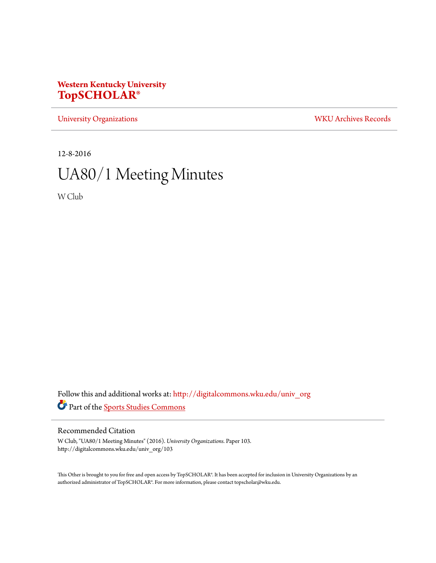# **Western Kentucky University [TopSCHOLAR®](http://digitalcommons.wku.edu?utm_source=digitalcommons.wku.edu%2Funiv_org%2F103&utm_medium=PDF&utm_campaign=PDFCoverPages)**

[University Organizations](http://digitalcommons.wku.edu/univ_org?utm_source=digitalcommons.wku.edu%2Funiv_org%2F103&utm_medium=PDF&utm_campaign=PDFCoverPages) [WKU Archives Records](http://digitalcommons.wku.edu/dlsc_ua_records?utm_source=digitalcommons.wku.edu%2Funiv_org%2F103&utm_medium=PDF&utm_campaign=PDFCoverPages)

12-8-2016

# UA80/1 Meeting Minutes

W Club

Follow this and additional works at: [http://digitalcommons.wku.edu/univ\\_org](http://digitalcommons.wku.edu/univ_org?utm_source=digitalcommons.wku.edu%2Funiv_org%2F103&utm_medium=PDF&utm_campaign=PDFCoverPages) Part of the [Sports Studies Commons](http://network.bepress.com/hgg/discipline/1198?utm_source=digitalcommons.wku.edu%2Funiv_org%2F103&utm_medium=PDF&utm_campaign=PDFCoverPages)

### Recommended Citation

W Club, "UA80/1 Meeting Minutes" (2016). *University Organizations.* Paper 103. http://digitalcommons.wku.edu/univ\_org/103

This Other is brought to you for free and open access by TopSCHOLAR®. It has been accepted for inclusion in University Organizations by an authorized administrator of TopSCHOLAR®. For more information, please contact topscholar@wku.edu.